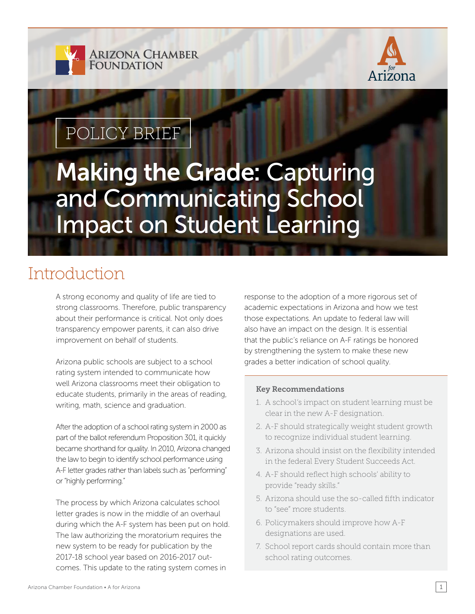



## POLICY BRIEF

# Making the Grade: Capturing and Communicating School Impact on Student Learning

### Introduction

A strong economy and quality of life are tied to strong classrooms. Therefore, public transparency about their performance is critical. Not only does transparency empower parents, it can also drive improvement on behalf of students.

Arizona public schools are subject to a school rating system intended to communicate how well Arizona classrooms meet their obligation to educate students, primarily in the areas of reading, writing, math, science and graduation.

After the adoption of a school rating system in 2000 as part of the ballot referendum Proposition 301, it quickly became shorthand for quality. In 2010, Arizona changed the law to begin to identify school performance using A-F letter grades rather than labels such as "performing" or "highly performing."

The process by which Arizona calculates school letter grades is now in the middle of an overhaul during which the A-F system has been put on hold. The law authorizing the moratorium requires the new system to be ready for publication by the 2017-18 school year based on 2016-2017 outcomes. This update to the rating system comes in

response to the adoption of a more rigorous set of academic expectations in Arizona and how we test those expectations. An update to federal law will also have an impact on the design. It is essential that the public's reliance on A-F ratings be honored by strengthening the system to make these new grades a better indication of school quality.

#### Key Recommendations

- 1. A school's impact on student learning must be clear in the new A-F designation.
- 2. A-F should strategically weight student growth to recognize individual student learning.
- 3. Arizona should insist on the flexibility intended in the federal Every Student Succeeds Act.
- 4. A-F should reflect high schools' ability to provide "ready skills."
- 5. Arizona should use the so-called fifth indicator to "see" more students.
- 6. Policymakers should improve how A-F designations are used.
- 7. School report cards should contain more than school rating outcomes.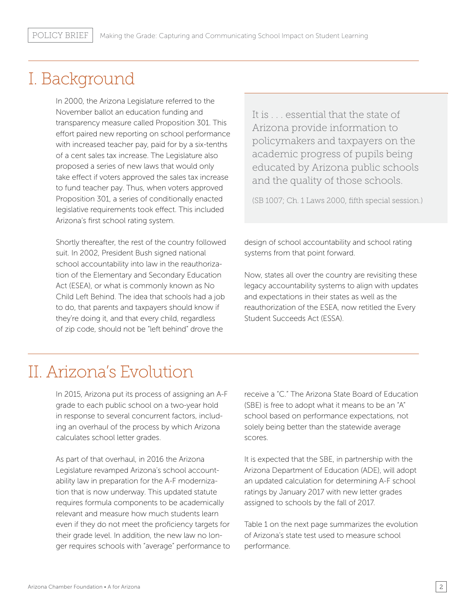### I. Background

In 2000, the Arizona Legislature referred to the November ballot an education funding and transparency measure called Proposition 301. This effort paired new reporting on school performance with increased teacher pay, paid for by a six-tenths of a cent sales tax increase. The Legislature also proposed a series of new laws that would only take effect if voters approved the sales tax increase to fund teacher pay. Thus, when voters approved Proposition 301, a series of conditionally enacted legislative requirements took effect. This included Arizona's first school rating system.

Shortly thereafter, the rest of the country followed suit. In 2002, President Bush signed national school accountability into law in the reauthorization of the Elementary and Secondary Education Act (ESEA), or what is commonly known as No Child Left Behind. The idea that schools had a job to do, that parents and taxpayers should know if they're doing it, and that every child, regardless of zip code, should not be "left behind" drove the

It is . . . essential that the state of Arizona provide information to policymakers and taxpayers on the academic progress of pupils being educated by Arizona public schools and the quality of those schools.

(SB 1007; Ch. 1 Laws 2000, fifth special session.)

design of school accountability and school rating systems from that point forward.

Now, states all over the country are revisiting these legacy accountability systems to align with updates and expectations in their states as well as the reauthorization of the ESEA, now retitled the Every Student Succeeds Act (ESSA).

### II. Arizona's Evolution

In 2015, Arizona put its process of assigning an A-F grade to each public school on a two-year hold in response to several concurrent factors, including an overhaul of the process by which Arizona calculates school letter grades.

As part of that overhaul, in 2016 the Arizona Legislature revamped Arizona's school accountability law in preparation for the A-F modernization that is now underway. This updated statute requires formula components to be academically relevant and measure how much students learn even if they do not meet the proficiency targets for their grade level. In addition, the new law no longer requires schools with "average" performance to

receive a "C." The Arizona State Board of Education (SBE) is free to adopt what it means to be an "A" school based on performance expectations, not solely being better than the statewide average scores.

It is expected that the SBE, in partnership with the Arizona Department of Education (ADE), will adopt an updated calculation for determining A-F school ratings by January 2017 with new letter grades assigned to schools by the fall of 2017.

Table 1 on the next page summarizes the evolution of Arizona's state test used to measure school performance.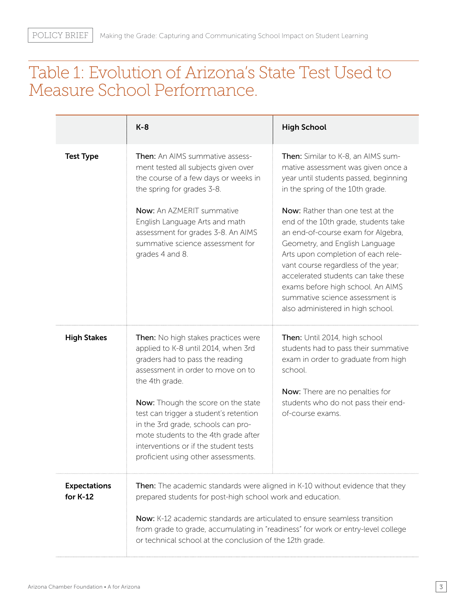### Table 1: Evolution of Arizona's State Test Used to Measure School Performance.

|                                   | $K-8$                                                                                                                                                                                                                                      | <b>High School</b>                                                                                                                                                                                                                                                                                                                                                                |
|-----------------------------------|--------------------------------------------------------------------------------------------------------------------------------------------------------------------------------------------------------------------------------------------|-----------------------------------------------------------------------------------------------------------------------------------------------------------------------------------------------------------------------------------------------------------------------------------------------------------------------------------------------------------------------------------|
| <b>Test Type</b>                  | <b>Then:</b> An AIMS summative assess-<br>ment tested all subjects given over<br>the course of a few days or weeks in<br>the spring for grades 3-8.                                                                                        | Then: Similar to K-8, an AIMS sum-<br>mative assessment was given once a<br>year until students passed, beginning<br>in the spring of the 10th grade.                                                                                                                                                                                                                             |
|                                   | Now: An AZMERIT summative<br>English Language Arts and math<br>assessment for grades 3-8. An AIMS<br>summative science assessment for<br>grades 4 and 8.                                                                                   | Now: Rather than one test at the<br>end of the 10th grade, students take<br>an end-of-course exam for Algebra,<br>Geometry, and English Language<br>Arts upon completion of each rele-<br>vant course regardless of the year;<br>accelerated students can take these<br>exams before high school. An AIMS<br>summative science assessment is<br>also administered in high school. |
| <b>High Stakes</b>                | Then: No high stakes practices were<br>applied to K-8 until 2014, when 3rd<br>graders had to pass the reading<br>assessment in order to move on to<br>the 4th grade.                                                                       | Then: Until 2014, high school<br>students had to pass their summative<br>exam in order to graduate from high<br>school.                                                                                                                                                                                                                                                           |
|                                   | Now: Though the score on the state<br>test can trigger a student's retention<br>in the 3rd grade, schools can pro-<br>mote students to the 4th grade after<br>interventions or if the student tests<br>proficient using other assessments. | Now: There are no penalties for<br>students who do not pass their end-<br>of-course exams.                                                                                                                                                                                                                                                                                        |
| <b>Expectations</b><br>for $K-12$ | <b>Then:</b> The academic standards were aligned in K-10 without evidence that they<br>prepared students for post-high school work and education.                                                                                          |                                                                                                                                                                                                                                                                                                                                                                                   |
|                                   | Now: K-12 academic standards are articulated to ensure seamless transition<br>from grade to grade, accumulating in "readiness" for work or entry-level college<br>or technical school at the conclusion of the 12th grade.                 |                                                                                                                                                                                                                                                                                                                                                                                   |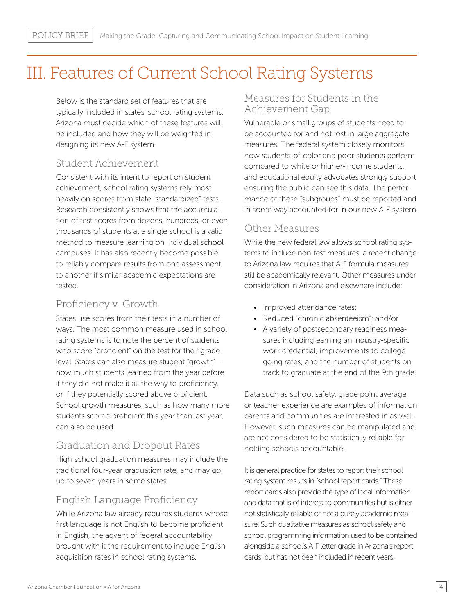### III. Features of Current School Rating Systems

Below is the standard set of features that are typically included in states' school rating systems. Arizona must decide which of these features will be included and how they will be weighted in designing its new A-F system.

#### Student Achievement

Consistent with its intent to report on student achievement, school rating systems rely most heavily on scores from state "standardized" tests. Research consistently shows that the accumulation of test scores from dozens, hundreds, or even thousands of students at a single school is a valid method to measure learning on individual school campuses. It has also recently become possible to reliably compare results from one assessment to another if similar academic expectations are tested.

#### Proficiency v. Growth

States use scores from their tests in a number of ways. The most common measure used in school rating systems is to note the percent of students who score "proficient" on the test for their grade level. States can also measure student "growth" how much students learned from the year before if they did not make it all the way to proficiency, or if they potentially scored above proficient. School growth measures, such as how many more students scored proficient this year than last year, can also be used.

#### Graduation and Dropout Rates

High school graduation measures may include the traditional four-year graduation rate, and may go up to seven years in some states.

#### English Language Proficiency

While Arizona law already requires students whose first language is not English to become proficient in English, the advent of federal accountability brought with it the requirement to include English acquisition rates in school rating systems.

#### Measures for Students in the Achievement Gap

Vulnerable or small groups of students need to be accounted for and not lost in large aggregate measures. The federal system closely monitors how students-of-color and poor students perform compared to white or higher-income students, and educational equity advocates strongly support ensuring the public can see this data. The performance of these "subgroups" must be reported and in some way accounted for in our new A-F system.

#### Other Measures

While the new federal law allows school rating systems to include non-test measures, a recent change to Arizona law requires that A-F formula measures still be academically relevant. Other measures under consideration in Arizona and elsewhere include:

- Improved attendance rates;
- Reduced "chronic absenteeism"; and/or
- A variety of postsecondary readiness measures including earning an industry-specific work credential; improvements to college going rates; and the number of students on track to graduate at the end of the 9th grade.

Data such as school safety, grade point average, or teacher experience are examples of information parents and communities are interested in as well. However, such measures can be manipulated and are not considered to be statistically reliable for holding schools accountable.

It is general practice for states to report their school rating system results in "school report cards." These report cards also provide the type of local information and data that is of interest to communities but is either not statistically reliable or not a purely academic measure. Such qualitative measures as school safety and school programming information used to be contained alongside a school's A-F letter grade in Arizona's report cards, but has not been included in recent years.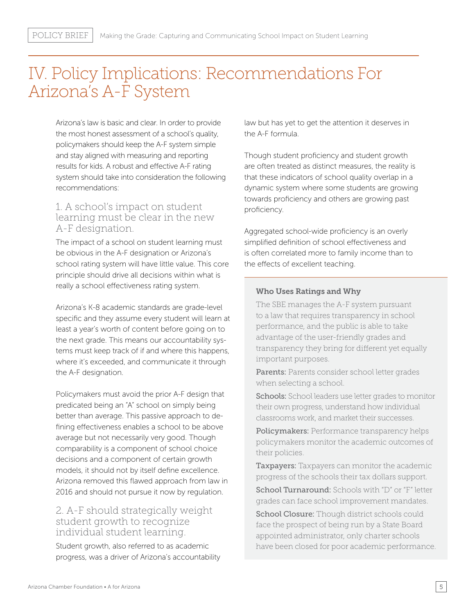### IV. Policy Implications: Recommendations For Arizona's A-F System

Arizona's law is basic and clear. In order to provide the most honest assessment of a school's quality, policymakers should keep the A-F system simple and stay aligned with measuring and reporting results for kids. A robust and effective A-F rating system should take into consideration the following recommendations:

#### 1. A school's impact on student learning must be clear in the new A-F designation.

The impact of a school on student learning must be obvious in the A-F designation or Arizona's school rating system will have little value. This core principle should drive all decisions within what is really a school effectiveness rating system.

Arizona's K-8 academic standards are grade-level specific and they assume every student will learn at least a year's worth of content before going on to the next grade. This means our accountability systems must keep track of if and where this happens, where it's exceeded, and communicate it through the A-F designation.

Policymakers must avoid the prior A-F design that predicated being an "A" school on simply being better than average. This passive approach to defining effectiveness enables a school to be above average but not necessarily very good. Though comparability is a component of school choice decisions and a component of certain growth models, it should not by itself define excellence. Arizona removed this flawed approach from law in 2016 and should not pursue it now by regulation.

#### 2. A-F should strategically weight student growth to recognize individual student learning.

Student growth, also referred to as academic progress, was a driver of Arizona's accountability law but has yet to get the attention it deserves in the A-F formula.

Though student proficiency and student growth are often treated as distinct measures, the reality is that these indicators of school quality overlap in a dynamic system where some students are growing towards proficiency and others are growing past proficiency.

Aggregated school-wide proficiency is an overly simplified definition of school effectiveness and is often correlated more to family income than to the effects of excellent teaching.

#### Who Uses Ratings and Why

The SBE manages the A-F system pursuant to a law that requires transparency in school performance, and the public is able to take advantage of the user-friendly grades and transparency they bring for different yet equally important purposes.

Parents: Parents consider school letter grades when selecting a school.

Schools: School leaders use letter grades to monitor their own progress, understand how individual classrooms work, and market their successes.

Policymakers: Performance transparency helps policymakers monitor the academic outcomes of their policies.

Taxpayers: Taxpayers can monitor the academic progress of the schools their tax dollars support. School Turnaround: Schools with "D" or "F" letter grades can face school improvement mandates.

School Closure: Though district schools could face the prospect of being run by a State Board appointed administrator, only charter schools have been closed for poor academic performance.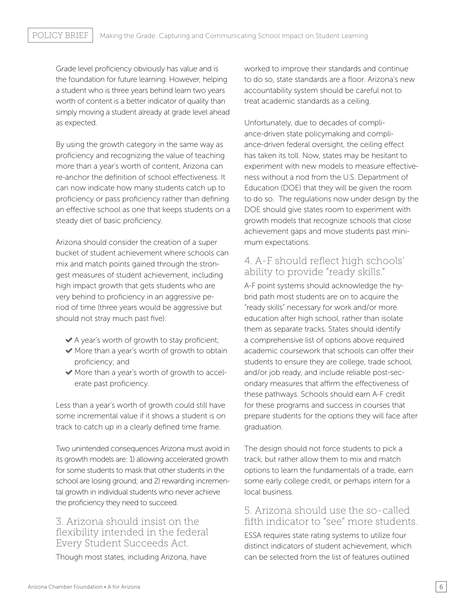Grade level proficiency obviously has value and is the foundation for future learning. However, helping a student who is three years behind learn two years worth of content is a better indicator of quality than simply moving a student already at grade level ahead as expected.

By using the growth category in the same way as proficiency and recognizing the value of teaching more than a year's worth of content, Arizona can re-anchor the definition of school effectiveness. It can now indicate how many students catch up to proficiency or pass proficiency rather than defining an effective school as one that keeps students on a steady diet of basic proficiency.

Arizona should consider the creation of a super bucket of student achievement where schools can mix and match points gained through the strongest measures of student achievement, including high impact growth that gets students who are very behind to proficiency in an aggressive period of time (three years would be aggressive but should not stray much past five):

- A year's worth of growth to stay proficient;
- More than a year's worth of growth to obtain proficiency; and
- More than a year's worth of growth to accelerate past proficiency.

Less than a year's worth of growth could still have some incremental value if it shows a student is on track to catch up in a clearly defined time frame.

Two unintended consequences Arizona must avoid in its growth models are: 1) allowing accelerated growth for some students to mask that other students in the school are losing ground; and 2) rewarding incremental growth in individual students who never achieve the proficiency they need to succeed.

#### 3. Arizona should insist on the flexibility intended in the federal Every Student Succeeds Act.

Though most states, including Arizona, have

worked to improve their standards and continue to do so, state standards are a floor. Arizona's new accountability system should be careful not to treat academic standards as a ceiling.

Unfortunately, due to decades of compliance-driven state policymaking and compliance-driven federal oversight, the ceiling effect has taken its toll. Now, states may be hesitant to experiment with new models to measure effectiveness without a nod from the U.S. Department of Education (DOE) that they will be given the room to do so. The regulations now under design by the DOE should give states room to experiment with growth models that recognize schools that close achievement gaps and move students past minimum expectations.

#### 4. A-F should reflect high schools' ability to provide "ready skills."

A-F point systems should acknowledge the hybrid path most students are on to acquire the "ready skills" necessary for work and/or more education after high school, rather than isolate them as separate tracks. States should identify a comprehensive list of options above required academic coursework that schools can offer their students to ensure they are college, trade school, and/or job ready, and include reliable post-secondary measures that affirm the effectiveness of these pathways. Schools should earn A-F credit for these programs and success in courses that prepare students for the options they will face after graduation.

The design should not force students to pick a track, but rather allow them to mix and match options to learn the fundamentals of a trade, earn some early college credit, or perhaps intern for a local business.

#### 5. Arizona should use the so-called fifth indicator to "see" more students.

ESSA requires state rating systems to utilize four distinct indicators of student achievement, which can be selected from the list of features outlined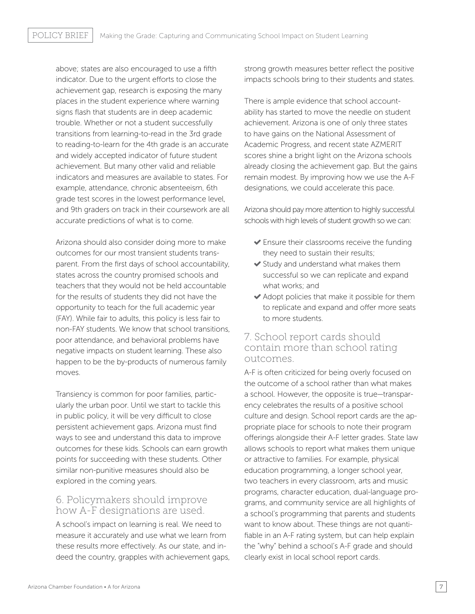above; states are also encouraged to use a fifth indicator. Due to the urgent efforts to close the achievement gap, research is exposing the many places in the student experience where warning signs flash that students are in deep academic trouble. Whether or not a student successfully transitions from learning-to-read in the 3rd grade to reading-to-learn for the 4th grade is an accurate and widely accepted indicator of future student achievement. But many other valid and reliable indicators and measures are available to states. For example, attendance, chronic absenteeism, 6th grade test scores in the lowest performance level, and 9th graders on track in their coursework are all accurate predictions of what is to come.

Arizona should also consider doing more to make outcomes for our most transient students transparent. From the first days of school accountability, states across the country promised schools and teachers that they would not be held accountable for the results of students they did not have the opportunity to teach for the full academic year (FAY). While fair to adults, this policy is less fair to non-FAY students. We know that school transitions, poor attendance, and behavioral problems have negative impacts on student learning. These also happen to be the by-products of numerous family moves.

Transiency is common for poor families, particularly the urban poor. Until we start to tackle this in public policy, it will be very difficult to close persistent achievement gaps. Arizona must find ways to see and understand this data to improve outcomes for these kids. Schools can earn growth points for succeeding with these students. Other similar non-punitive measures should also be explored in the coming years.

#### 6. Policymakers should improve how A-F designations are used.

A school's impact on learning is real. We need to measure it accurately and use what we learn from these results more effectively. As our state, and indeed the country, grapples with achievement gaps, strong growth measures better reflect the positive impacts schools bring to their students and states.

There is ample evidence that school accountability has started to move the needle on student achievement. Arizona is one of only three states to have gains on the National Assessment of Academic Progress, and recent state AZMERIT scores shine a bright light on the Arizona schools already closing the achievement gap. But the gains remain modest. By improving how we use the A-F designations, we could accelerate this pace.

Arizona should pay more attention to highly successful schools with high levels of student growth so we can:

- Ensure their classrooms receive the funding they need to sustain their results;
- Study and understand what makes them successful so we can replicate and expand what works; and
- $\blacktriangleright$  Adopt policies that make it possible for them to replicate and expand and offer more seats to more students.

#### 7. School report cards should contain more than school rating outcomes.

A-F is often criticized for being overly focused on the outcome of a school rather than what makes a school. However, the opposite is true—transparency celebrates the results of a positive school culture and design. School report cards are the appropriate place for schools to note their program offerings alongside their A-F letter grades. State law allows schools to report what makes them unique or attractive to families. For example, physical education programming, a longer school year, two teachers in every classroom, arts and music programs, character education, dual-language programs, and community service are all highlights of a school's programming that parents and students want to know about. These things are not quantifiable in an A-F rating system, but can help explain the "why" behind a school's A-F grade and should clearly exist in local school report cards.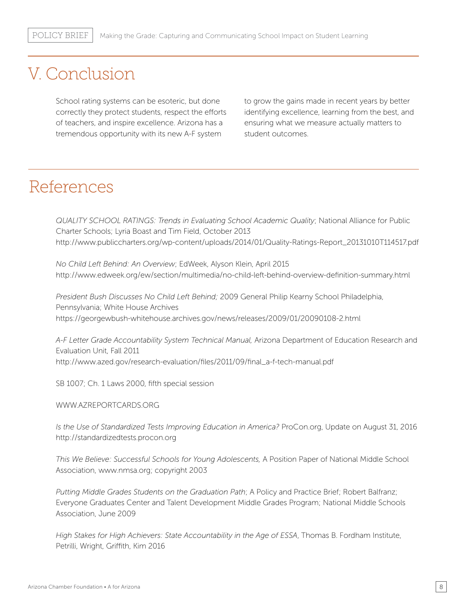### V. Conclusion

School rating systems can be esoteric, but done correctly they protect students, respect the efforts of teachers, and inspire excellence. Arizona has a tremendous opportunity with its new A-F system

to grow the gains made in recent years by better identifying excellence, learning from the best, and ensuring what we measure actually matters to student outcomes.

### References

*QUALITY SCHOOL RATINGS: Trends in Evaluating School Academic Quality*; National Alliance for Public Charter Schools; Lyria Boast and Tim Field, October 2013 http://www.publiccharters.org/wp-content/uploads/2014/01/Quality-Ratings-Report\_20131010T114517.pdf

*No Child Left Behind: An Overview*; EdWeek, Alyson Klein, April 2015 http://www.edweek.org/ew/section/multimedia/no-child-left-behind-overview-definition-summary.html

*President Bush Discusses No Child Left Behind;* 2009 General Philip Kearny School Philadelphia, Pennsylvania; White House Archives https://georgewbush-whitehouse.archives.gov/news/releases/2009/01/20090108-2.html

*A-F Letter Grade Accountability System Technical Manual,* Arizona Department of Education Research and Evaluation Unit, Fall 2011 http://www.azed.gov/research-evaluation/files/2011/09/final\_a-f-tech-manual.pdf

SB 1007; Ch. 1 Laws 2000, fifth special session

WWW.AZREPORTCARDS.ORG

*Is the Use of Standardized Tests Improving Education in America?* ProCon.org, Update on August 31, 2016 http://standardizedtests.procon.org

*This We Believe: Successful Schools for Young Adolescents,* A Position Paper of National Middle School Association, www.nmsa.org; copyright 2003

*Putting Middle Grades Students on the Graduation Path*; A Policy and Practice Brief; Robert Balfranz; Everyone Graduates Center and Talent Development Middle Grades Program; National Middle Schools Association, June 2009

*High Stakes for High Achievers: State Accountability in the Age of ESSA*, Thomas B. Fordham Institute, Petrilli, Wright, Griffith, Kim 2016